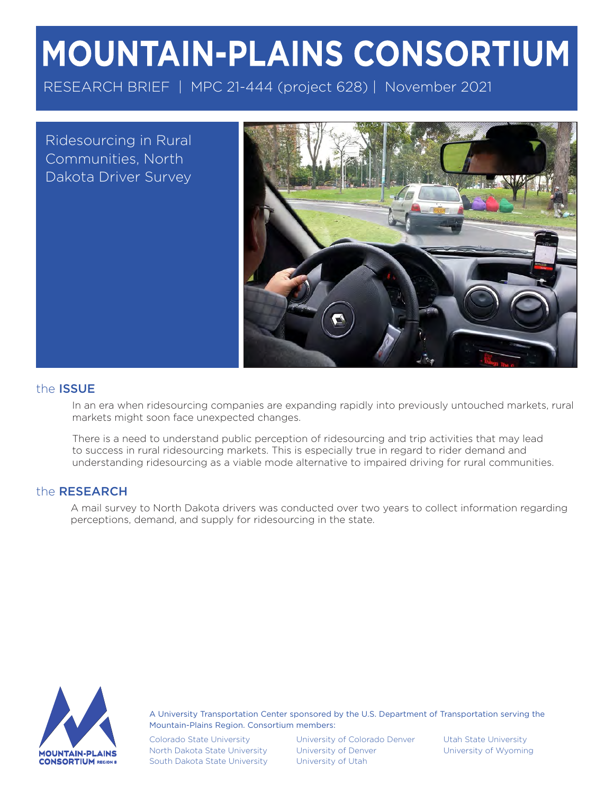# **MOUNTAIN-PLAINS CONSORTIUM**

RESEARCH BRIEF | MPC 21-444 (project 628) | November 2021

Ridesourcing in Rural Communities, North Dakota Driver Survey



# the ISSUE

In an era when ridesourcing companies are expanding rapidly into previously untouched markets, rural markets might soon face unexpected changes.

There is a need to understand public perception of ridesourcing and trip activities that may lead to success in rural ridesourcing markets. This is especially true in regard to rider demand and understanding ridesourcing as a viable mode alternative to impaired driving for rural communities.

## the RESEARCH

A mail survey to North Dakota drivers was conducted over two years to collect information regarding perceptions, demand, and supply for ridesourcing in the state.



A University Transportation Center sponsored by the U.S. Department of Transportation serving the Mountain-Plains Region. Consortium members:

Colorado State University North Dakota State University South Dakota State University

University of Colorado Denver Utah State University University of Denver **University of Wyoming** University of Utah